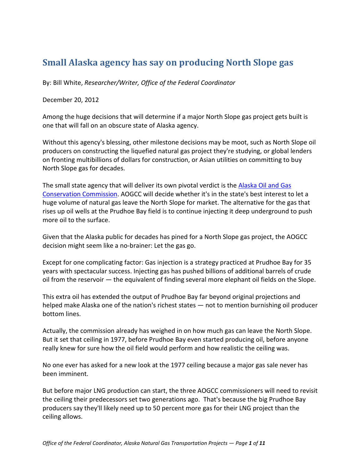### **Small Alaska agency has say on producing North Slope gas**

By: Bill White, *Researcher/Writer, Office of the Federal Coordinator*

December 20, 2012

Among the huge decisions that will determine if a major North Slope gas project gets built is one that will fall on an obscure state of Alaska agency.

Without this agency's blessing, other milestone decisions may be moot, such as North Slope oil producers on constructing the liquefied natural gas project they're studying, or global lenders on fronting multibillions of dollars for construction, or Asian utilities on committing to buy North Slope gas for decades.

The small state agency that will deliver its own pivotal verdict is the [Alaska Oil and Gas](http://doa.alaska.gov/ogc/)  [Conservation Commission.](http://doa.alaska.gov/ogc/) AOGCC will decide whether it's in the state's best interest to let a huge volume of natural gas leave the North Slope for market. The alternative for the gas that rises up oil wells at the Prudhoe Bay field is to continue injecting it deep underground to push more oil to the surface.

Given that the Alaska public for decades has pined for a North Slope gas project, the AOGCC decision might seem like a no-brainer: Let the gas go.

Except for one complicating factor: Gas injection is a strategy practiced at Prudhoe Bay for 35 years with spectacular success. Injecting gas has pushed billions of additional barrels of crude oil from the reservoir — the equivalent of finding several more elephant oil fields on the Slope.

This extra oil has extended the output of Prudhoe Bay far beyond original projections and helped make Alaska one of the nation's richest states — not to mention burnishing oil producer bottom lines.

Actually, the commission already has weighed in on how much gas can leave the North Slope. But it set that ceiling in 1977, before Prudhoe Bay even started producing oil, before anyone really knew for sure how the oil field would perform and how realistic the ceiling was.

No one ever has asked for a new look at the 1977 ceiling because a major gas sale never has been imminent.

But before major LNG production can start, the three AOGCC commissioners will need to revisit the ceiling their predecessors set two generations ago. That's because the big Prudhoe Bay producers say they'll likely need up to 50 percent more gas for their LNG project than the ceiling allows.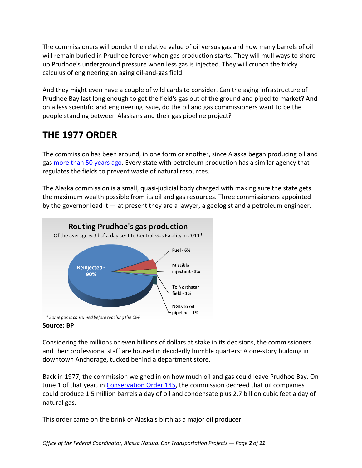The commissioners will ponder the relative value of oil versus gas and how many barrels of oil will remain buried in Prudhoe forever when gas production starts. They will mull ways to shore up Prudhoe's underground pressure when less gas is injected. They will crunch the tricky calculus of engineering an aging oil-and-gas field.

And they might even have a couple of wild cards to consider. Can the aging infrastructure of Prudhoe Bay last long enough to get the field's gas out of the ground and piped to market? And on a less scientific and engineering issue, do the oil and gas commissioners want to be the people standing between Alaskans and their gas pipeline project?

# **THE 1977 ORDER**

The commission has been around, in one form or another, since Alaska began producing oil and gas [more than 50 years ago.](http://doa.alaska.gov/ogc/WhoWeAre/history.html) Every state with petroleum production has a similar agency that regulates the fields to prevent waste of natural resources.

The Alaska commission is a small, quasi-judicial body charged with making sure the state gets the maximum wealth possible from its oil and gas resources. Three commissioners appointed by the governor lead it — at present they are a lawyer, a geologist and a petroleum engineer.



### **Source: BP**

Considering the millions or even billions of dollars at stake in its decisions, the commissioners and their professional staff are housed in decidedly humble quarters: A one-story building in downtown Anchorage, tucked behind a department store.

Back in 1977, the commission weighed in on how much oil and gas could leave Prudhoe Bay. On June 1 of that year, in [Conservation Order 145,](http://doa.alaska.gov/ogc/orders/co/co001_299/co145.pdf) the commission decreed that oil companies could produce 1.5 million barrels a day of oil and condensate plus 2.7 billion cubic feet a day of natural gas.

This order came on the brink of Alaska's birth as a major oil producer.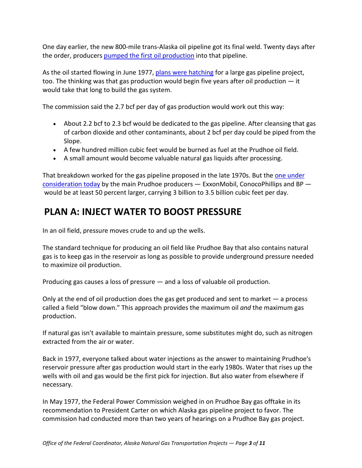One day earlier, the new 800-mile trans-Alaska oil pipeline got its final weld. Twenty days after the order, producer[s pumped the first oil production](http://alyeskapipeline.com/assets/uploads/pagestructure/TAPS_PipelineFacts/editor_uploads/Factbook09_6.30.pdf) into that pipeline.

As the oil started flowing in June 1977, [plans were hatching](http://www.arcticgas.gov/Alaska-gas-pipeline-wars-1971-1982) for a large gas pipeline project, too. The thinking was that gas production would begin five years after oil production — it would take that long to build the gas system.

The commission said the 2.7 bcf per day of gas production would work out this way:

- About 2.2 bcf to 2.3 bcf would be dedicated to the gas pipeline. After cleansing that gas of carbon dioxide and other contaminants, about 2 bcf per day could be piped from the Slope.
- A few hundred million cubic feet would be burned as fuel at the Prudhoe oil field.
- A small amount would become valuable natural gas liquids after processing.

That breakdown worked for the gas pipeline proposed in the late 1970s. But the one under [consideration today](http://www.arcticgas.gov/sites/default/files/documents/producer-letter-100312.pdf) by the main Prudhoe producers  $-$  ExxonMobil, ConocoPhillips and BP  $$ would be at least 50 percent larger, carrying 3 billion to 3.5 billion cubic feet per day.

## **PLAN A: INJECT WATER TO BOOST PRESSURE**

In an oil field, pressure moves crude to and up the wells.

The standard technique for producing an oil field like Prudhoe Bay that also contains natural gas is to keep gas in the reservoir as long as possible to provide underground pressure needed to maximize oil production.

Producing gas causes a loss of pressure — and a loss of valuable oil production.

Only at the end of oil production does the gas get produced and sent to market — a process called a field "blow down." This approach provides the maximum oil *and* the maximum gas production.

If natural gas isn't available to maintain pressure, some substitutes might do, such as nitrogen extracted from the air or water.

Back in 1977, everyone talked about water injections as the answer to maintaining Prudhoe's reservoir pressure after gas production would start in the early 1980s. Water that rises up the wells with oil and gas would be the first pick for injection. But also water from elsewhere if necessary.

In May 1977, the Federal Power Commission weighed in on Prudhoe Bay gas offtake in its recommendation to President Carter on which Alaska gas pipeline project to favor. The commission had conducted more than two years of hearings on a Prudhoe Bay gas project.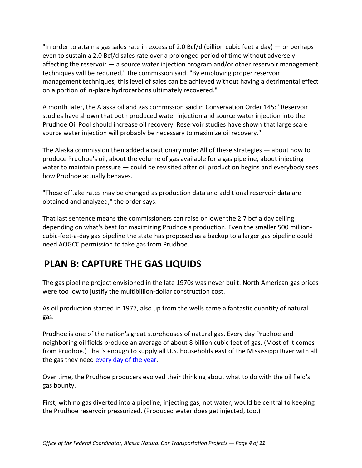"In order to attain a gas sales rate in excess of 2.0 Bcf/d (billion cubic feet a day) — or perhaps even to sustain a 2.0 Bcf/d sales rate over a prolonged period of time without adversely affecting the reservoir — a source water injection program and/or other reservoir management techniques will be required," the commission said. "By employing proper reservoir management techniques, this level of sales can be achieved without having a detrimental effect on a portion of in-place hydrocarbons ultimately recovered."

A month later, the Alaska oil and gas commission said in Conservation Order 145: "Reservoir studies have shown that both produced water injection and source water injection into the Prudhoe Oil Pool should increase oil recovery. Reservoir studies have shown that large scale source water injection will probably be necessary to maximize oil recovery."

The Alaska commission then added a cautionary note: All of these strategies — about how to produce Prudhoe's oil, about the volume of gas available for a gas pipeline, about injecting water to maintain pressure - could be revisited after oil production begins and everybody sees how Prudhoe actually behaves.

"These offtake rates may be changed as production data and additional reservoir data are obtained and analyzed," the order says.

That last sentence means the commissioners can raise or lower the 2.7 bcf a day ceiling depending on what's best for maximizing Prudhoe's production. Even the smaller 500 millioncubic-feet-a-day gas pipeline the state has proposed as a backup to a larger gas pipeline could need AOGCC permission to take gas from Prudhoe.

# **PLAN B: CAPTURE THE GAS LIQUIDS**

The gas pipeline project envisioned in the late 1970s was never built. North American gas prices were too low to justify the multibillion-dollar construction cost.

As oil production started in 1977, also up from the wells came a fantastic quantity of natural gas.

Prudhoe is one of the nation's great storehouses of natural gas. Every day Prudhoe and neighboring oil fields produce an average of about 8 billion cubic feet of gas. (Most of it comes from Prudhoe.) That's enough to supply all U.S. households east of the Mississippi River with all the gas they need [every day of the year.](http://www.eia.gov/dnav/ng/NG_CONS_SUM_A_EPG0_VRS_MMCF_A.htm)

Over time, the Prudhoe producers evolved their thinking about what to do with the oil field's gas bounty.

First, with no gas diverted into a pipeline, injecting gas, not water, would be central to keeping the Prudhoe reservoir pressurized. (Produced water does get injected, too.)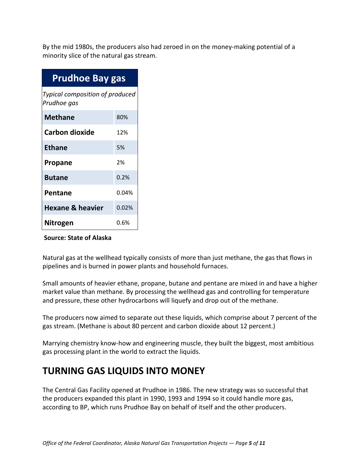By the mid 1980s, the producers also had zeroed in on the money-making potential of a minority slice of the natural gas stream.

| <b>Prudhoe Bay gas</b>                         |       |
|------------------------------------------------|-------|
| Typical composition of produced<br>Prudhoe gas |       |
| <b>Methane</b>                                 | 80%   |
| <b>Carbon dioxide</b>                          | 12%   |
| <b>Ethane</b>                                  | 5%    |
| <b>Propane</b>                                 | 2%    |
| <b>Butane</b>                                  | 0.2%  |
| Pentane                                        | 0.04% |
| <b>Hexane &amp; heavier</b>                    | 0.02% |
| Nitrogen                                       | 0.6%  |

### **Source: State of Alaska**

Natural gas at the wellhead typically consists of more than just methane, the gas that flows in pipelines and is burned in power plants and household furnaces.

Small amounts of heavier ethane, propane, butane and pentane are mixed in and have a higher market value than methane. By processing the wellhead gas and controlling for temperature and pressure, these other hydrocarbons will liquefy and drop out of the methane.

The producers now aimed to separate out these liquids, which comprise about 7 percent of the gas stream. (Methane is about 80 percent and carbon dioxide about 12 percent.)

Marrying chemistry know-how and engineering muscle, they built the biggest, most ambitious gas processing plant in the world to extract the liquids.

## **TURNING GAS LIQUIDS INTO MONEY**

The Central Gas Facility opened at Prudhoe in 1986. The new strategy was so successful that the producers expanded this plant in 1990, 1993 and 1994 so it could handle more gas, according to BP, which runs Prudhoe Bay on behalf of itself and the other producers.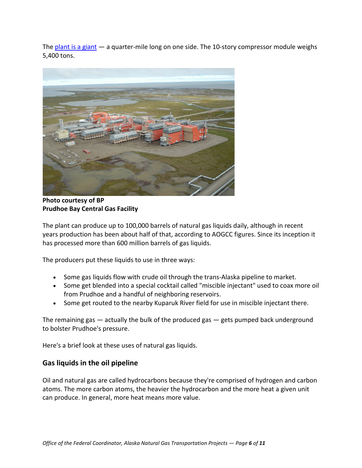The [plant is a giant](http://www.arcticgas.gov/sites/default/files/documents/cgf-ccp-fact-sheet-6-2011.pdf)  $-$  a quarter-mile long on one side. The 10-story compressor module weighs 5,400 tons.



**Photo courtesy of BP Prudhoe Bay Central Gas Facility** 

The plant can produce up to 100,000 barrels of natural gas liquids daily, although in recent years production has been about half of that, according to AOGCC figures. Since its inception it has processed more than 600 million barrels of gas liquids.

The producers put these liquids to use in three ways:

- Some gas liquids flow with crude oil through the trans-Alaska pipeline to market.
- Some get blended into a special cocktail called "miscible injectant" used to coax more oil from Prudhoe and a handful of neighboring reservoirs.
- Some get routed to the nearby Kuparuk River field for use in miscible injectant there.

The remaining gas — actually the bulk of the produced gas — gets pumped back underground to bolster Prudhoe's pressure.

Here's a brief look at these uses of natural gas liquids.

### **Gas liquids in the oil pipeline**

Oil and natural gas are called hydrocarbons because they're comprised of hydrogen and carbon atoms. The more carbon atoms, the heavier the hydrocarbon and the more heat a given unit can produce. In general, more heat means more value.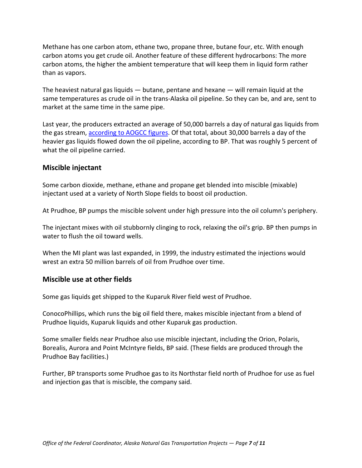Methane has one carbon atom, ethane two, propane three, butane four, etc. With enough carbon atoms you get crude oil. Another feature of these different hydrocarbons: The more carbon atoms, the higher the ambient temperature that will keep them in liquid form rather than as vapors.

The heaviest natural gas liquids — butane, pentane and hexane — will remain liquid at the same temperatures as crude oil in the trans-Alaska oil pipeline. So they can be, and are, sent to market at the same time in the same pipe.

Last year, the producers extracted an average of 50,000 barrels a day of natural gas liquids from the gas stream[, according to AOGCC figures.](http://www.arcticgas.gov/sites/default/files/documents/aogcc-north-slope-2011-production-summary-field-and-pool-annual.pdf) Of that total, about 30,000 barrels a day of the heavier gas liquids flowed down the oil pipeline, according to BP. That was roughly 5 percent of what the oil pipeline carried.

#### **Miscible injectant**

Some carbon dioxide, methane, ethane and propane get blended into miscible (mixable) injectant used at a variety of North Slope fields to boost oil production.

At Prudhoe, BP pumps the miscible solvent under high pressure into the oil column's periphery.

The injectant mixes with oil stubbornly clinging to rock, relaxing the oil's grip. BP then pumps in water to flush the oil toward wells.

When the MI plant was last expanded, in 1999, the industry estimated the injections would wrest an extra 50 million barrels of oil from Prudhoe over time.

### **Miscible use at other fields**

Some gas liquids get shipped to the Kuparuk River field west of Prudhoe.

ConocoPhillips, which runs the big oil field there, makes miscible injectant from a blend of Prudhoe liquids, Kuparuk liquids and other Kuparuk gas production.

Some smaller fields near Prudhoe also use miscible injectant, including the Orion, Polaris, Borealis, Aurora and Point McIntyre fields, BP said. (These fields are produced through the Prudhoe Bay facilities.)

Further, BP transports some Prudhoe gas to its Northstar field north of Prudhoe for use as fuel and injection gas that is miscible, the company said.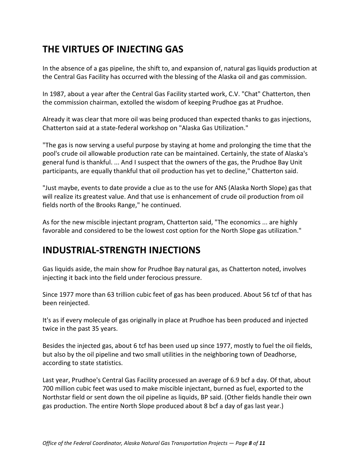# **THE VIRTUES OF INJECTING GAS**

In the absence of a gas pipeline, the shift to, and expansion of, natural gas liquids production at the Central Gas Facility has occurred with the blessing of the Alaska oil and gas commission.

In 1987, about a year after the Central Gas Facility started work, C.V. "Chat" Chatterton, then the commission chairman, extolled the wisdom of keeping Prudhoe gas at Prudhoe.

Already it was clear that more oil was being produced than expected thanks to gas injections, Chatterton said at a state-federal workshop on "Alaska Gas Utilization."

"The gas is now serving a useful purpose by staying at home and prolonging the time that the pool's crude oil allowable production rate can be maintained. Certainly, the state of Alaska's general fund is thankful. ... And I suspect that the owners of the gas, the Prudhoe Bay Unit participants, are equally thankful that oil production has yet to decline," Chatterton said.

"Just maybe, events to date provide a clue as to the use for ANS (Alaska North Slope) gas that will realize its greatest value. And that use is enhancement of crude oil production from oil fields north of the Brooks Range," he continued.

As for the new miscible injectant program, Chatterton said, "The economics ... are highly favorable and considered to be the lowest cost option for the North Slope gas utilization."

## **INDUSTRIAL-STRENGTH INJECTIONS**

Gas liquids aside, the main show for Prudhoe Bay natural gas, as Chatterton noted, involves injecting it back into the field under ferocious pressure.

Since 1977 more than 63 trillion cubic feet of gas has been produced. About 56 tcf of that has been reinjected.

It's as if every molecule of gas originally in place at Prudhoe has been produced and injected twice in the past 35 years.

Besides the injected gas, about 6 tcf has been used up since 1977, mostly to fuel the oil fields, but also by the oil pipeline and two small utilities in the neighboring town of Deadhorse, according to state statistics.

Last year, Prudhoe's Central Gas Facility processed an average of 6.9 bcf a day. Of that, about 700 million cubic feet was used to make miscible injectant, burned as fuel, exported to the Northstar field or sent down the oil pipeline as liquids, BP said. (Other fields handle their own gas production. The entire North Slope produced about 8 bcf a day of gas last year.)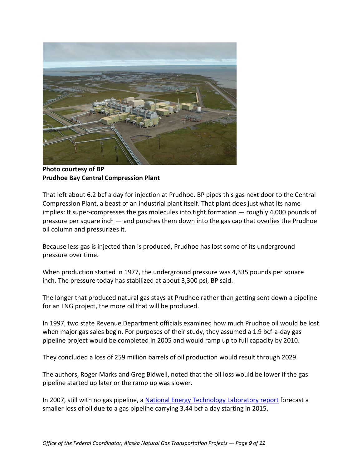

**Photo courtesy of BP Prudhoe Bay Central Compression Plant** 

That left about 6.2 bcf a day for injection at Prudhoe. BP pipes this gas next door to the Central Compression Plant, a beast of an industrial plant itself. That plant does just what its name implies: It super-compresses the gas molecules into tight formation — roughly 4,000 pounds of pressure per square inch — and punches them down into the gas cap that overlies the Prudhoe oil column and pressurizes it.

Because less gas is injected than is produced, Prudhoe has lost some of its underground pressure over time.

When production started in 1977, the underground pressure was 4,335 pounds per square inch. The pressure today has stabilized at about 3,300 psi, BP said.

The longer that produced natural gas stays at Prudhoe rather than getting sent down a pipeline for an LNG project, the more oil that will be produced.

In 1997, two state Revenue Department officials examined how much Prudhoe oil would be lost when major gas sales begin. For purposes of their study, they assumed a 1.9 bcf-a-day gas pipeline project would be completed in 2005 and would ramp up to full capacity by 2010.

They concluded a loss of 259 million barrels of oil production would result through 2029.

The authors, Roger Marks and Greg Bidwell, noted that the oil loss would be lower if the gas pipeline started up later or the ramp up was slower.

In 2007, still with no gas pipeline, a [National Energy Technology Laboratory report](http://www.netl.doe.gov/technologies/oil-gas/publications/EPreports/ANSFullReportFinalAugust2007.pdf) forecast a smaller loss of oil due to a gas pipeline carrying 3.44 bcf a day starting in 2015.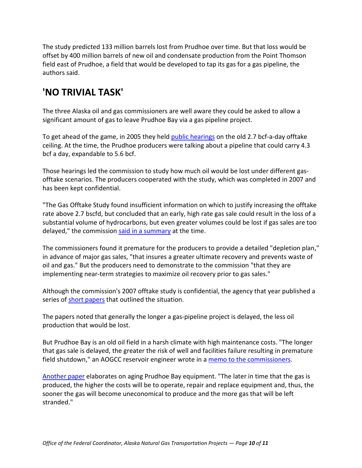The study predicted 133 million barrels lost from Prudhoe over time. But that loss would be offset by 400 million barrels of new oil and condensate production from the Point Thomson field east of Prudhoe, a field that would be developed to tap its gas for a gas pipeline, the authors said.

## **'NO TRIVIAL TASK'**

The three Alaska oil and gas commissioners are well aware they could be asked to allow a significant amount of gas to leave Prudhoe Bay via a gas pipeline project.

To get ahead of the game, in 2005 they held [public hearings](http://www.arcticgas.gov/sites/default/files/documents/aogcc-07-2-28-prudhoe-gas-sale-reservoir-study-slides.pdf) on the old 2.7 bcf-a-day offtake ceiling. At the time, the Prudhoe producers were talking about a pipeline that could carry 4.3 bcf a day, expandable to 5.6 bcf.

Those hearings led the commission to study how much oil would be lost under different gasofftake scenarios. The producers cooperated with the study, which was completed in 2007 and has been kept confidential.

"The Gas Offtake Study found insufficient information on which to justify increasing the offtake rate above 2.7 bscfd, but concluded that an early, high rate gas sale could result in the loss of a substantial volume of hydrocarbons, but even greater volumes could be lost if gas sales are too delayed," the commission [said in a summary](http://doa.alaska.gov/ogc/orders/co/co300_399/co341d_Rule9AmendRpt.pdf) at the time.

The commissioners found it premature for the producers to provide a detailed "depletion plan," in advance of major gas sales, "that insures a greater ultimate recovery and prevents waste of oil and gas." But the producers need to demonstrate to the commission "that they are implementing near-term strategies to maximize oil recovery prior to gas sales."

Although the commission's 2007 offtake study is confidential, the agency that year published a series of [short papers](http://doa.alaska.gov/ogc/Gas/gasindex.html) that outlined the situation.

The papers noted that generally the longer a gas-pipeline project is delayed, the less oil production that would be lost.

But Prudhoe Bay is an old oil field in a harsh climate with high maintenance costs. "The longer that gas sale is delayed, the greater the risk of well and facilities failure resulting in premature field shutdown," an AOGCC reservoir engineer wrote in a [memo to the commissioners.](http://www.arcticgas.gov/sites/default/files/documents/aogcc-07-2-28-prudhoe-gas-sale-reservoir-study-summary.pdf)

[Another paper](http://www.arcticgas.gov/sites/default/files/documents/aogcc-07-5-18-role-aogcc-establishing-prudhoe-allowable-gas-offtake-rate.pdf) elaborates on aging Prudhoe Bay equipment. "The later in time that the gas is produced, the higher the costs will be to operate, repair and replace equipment and, thus, the sooner the gas will become uneconomical to produce and the more gas that will be left stranded."